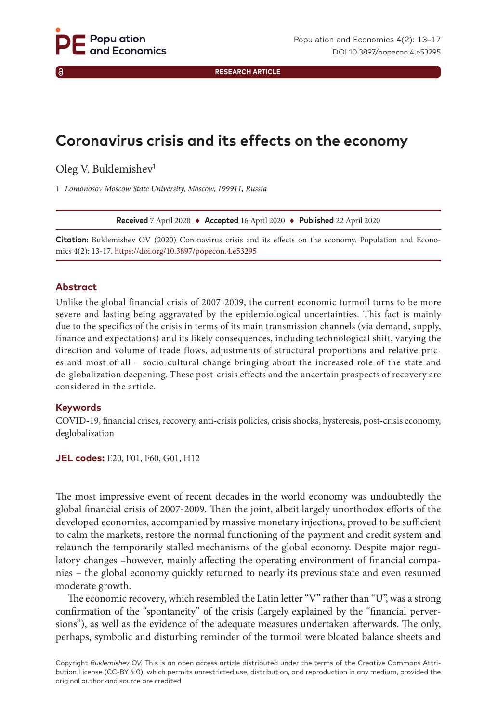**RESEARCH ARTICLE**

# **Coronavirus crisis and its effects on the economy**

Oleg V. Buklemishev<sup>1</sup>

1 *Lomonosov Moscow State University, Moscow, 199911, Russia*

**Received** 7 April 2020 ♦ **Accepted** 16 April 2020 ♦ **Published** 22 April 2020

**Citation:** Buklemishev OV (2020) Coronavirus crisis and its effects on the economy. Population and Economics 4(2): 13-17. [https://doi.org/](https://doi.org/10.3897/popecon.4.e53295)10.3897/popecon.4.e53295

#### **Abstract**

Unlike the global financial crisis of 2007-2009, the current economic turmoil turns to be more severe and lasting being aggravated by the epidemiological uncertainties. This fact is mainly due to the specifics of the crisis in terms of its main transmission channels (via demand, supply, finance and expectations) and its likely consequences, including technological shift, varying the direction and volume of trade flows, adjustments of structural proportions and relative prices and most of all – socio-cultural change bringing about the increased role of the state and de-globalization deepening. These post-crisis effects and the uncertain prospects of recovery are considered in the article.

#### **Keywords**

COVID-19, financial crises, recovery, anti-crisis policies, crisis shocks, hysteresis, post-crisis economy, deglobalization

**JEL codes:** E20, F01, F60, G01, H12

The most impressive event of recent decades in the world economy was undoubtedly the global financial crisis of 2007-2009. Then the joint, albeit largely unorthodox efforts of the developed economies, accompanied by massive monetary injections, proved to be sufficient to calm the markets, restore the normal functioning of the payment and credit system and relaunch the temporarily stalled mechanisms of the global economy. Despite major regulatory changes –however, mainly affecting the operating environment of financial companies – the global economy quickly returned to nearly its previous state and even resumed moderate growth.

The economic recovery, which resembled the Latin letter "V" rather than "U", was a strong confirmation of the "spontaneity" of the crisis (largely explained by the "financial perversions"), as well as the evidence of the adequate measures undertaken afterwards. The only, perhaps, symbolic and disturbing reminder of the turmoil were bloated balance sheets and

Copyright *Buklemishev OV.* This is an open access article distributed under the terms of the Creative Commons Attribution License (CC-BY 4.0), which permits unrestricted use, distribution, and reproduction in any medium, provided the original author and source are credited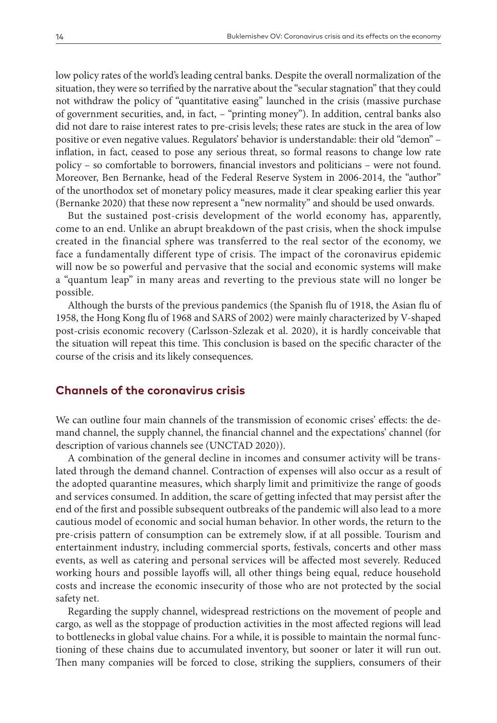low policy rates of the world's leading central banks. Despite the overall normalization of the situation, they were so terrified by the narrative about the "secular stagnation" that they could not withdraw the policy of "quantitative easing" launched in the crisis (massive purchase of government securities, and, in fact, – "printing money"). In addition, central banks also did not dare to raise interest rates to pre-crisis levels; these rates are stuck in the area of low positive or even negative values. Regulators' behavior is understandable: their old "demon" – inflation, in fact, ceased to pose any serious threat, so formal reasons to change low rate policy – so comfortable to borrowers, financial investors and politicians – were not found. Moreover, Ben Bernanke, head of the Federal Reserve System in 2006-2014, the "author" of the unorthodox set of monetary policy measures, made it clear speaking earlier this year (Bernanke 2020) that these now represent a "new normality" and should be used onwards.

But the sustained post-crisis development of the world economy has, apparently, come to an end. Unlike an abrupt breakdown of the past crisis, when the shock impulse created in the financial sphere was transferred to the real sector of the economy, we face a fundamentally different type of crisis. The impact of the coronavirus epidemic will now be so powerful and pervasive that the social and economic systems will make a "quantum leap" in many areas and reverting to the previous state will no longer be possible.

Although the bursts of the previous pandemics (the Spanish flu of 1918, the Asian flu of 1958, the Hong Kong flu of 1968 and SARS of 2002) were mainly characterized by V-shaped post-crisis economic recovery (Carlsson-Szlezak et al. 2020), it is hardly conceivable that the situation will repeat this time. This conclusion is based on the specific character of the course of the crisis and its likely consequences.

## **Channels of the coronavirus crisis**

We can outline four main channels of the transmission of economic crises' effects: the demand channel, the supply channel, the financial channel and the expectations' channel (for description of various channels see (UNCTAD 2020)).

A combination of the general decline in incomes and consumer activity will be translated through the demand channel. Contraction of expenses will also occur as a result of the adopted quarantine measures, which sharply limit and primitivize the range of goods and services consumed. In addition, the scare of getting infected that may persist after the end of the first and possible subsequent outbreaks of the pandemic will also lead to a more cautious model of economic and social human behavior. In other words, the return to the pre-crisis pattern of consumption can be extremely slow, if at all possible. Tourism and entertainment industry, including commercial sports, festivals, concerts and other mass events, as well as catering and personal services will be affected most severely. Reduced working hours and possible layoffs will, all other things being equal, reduce household costs and increase the economic insecurity of those who are not protected by the social safety net.

Regarding the supply channel, widespread restrictions on the movement of people and cargo, as well as the stoppage of production activities in the most affected regions will lead to bottlenecks in global value chains. For a while, it is possible to maintain the normal functioning of these chains due to accumulated inventory, but sooner or later it will run out. Then many companies will be forced to close, striking the suppliers, consumers of their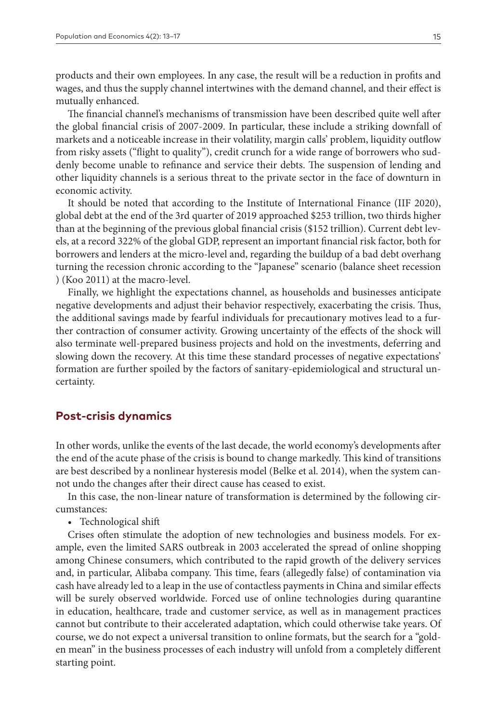products and their own employees. In any case, the result will be a reduction in profits and wages, and thus the supply channel intertwines with the demand channel, and their effect is mutually enhanced.

The financial channel's mechanisms of transmission have been described quite well after the global financial crisis of 2007-2009. In particular, these include a striking downfall of markets and a noticeable increase in their volatility, margin calls' problem, liquidity outflow from risky assets ("flight to quality"), credit crunch for a wide range of borrowers who suddenly become unable to refinance and service their debts. The suspension of lending and other liquidity channels is a serious threat to the private sector in the face of downturn in economic activity.

It should be noted that according to the Institute of International Finance (IIF 2020), global debt at the end of the 3rd quarter of 2019 approached \$253 trillion, two thirds higher than at the beginning of the previous global financial crisis (\$152 trillion). Current debt levels, at a record 322% of the global GDP, represent an important financial risk factor, both for borrowers and lenders at the micro-level and, regarding the buildup of a bad debt overhang turning the recession chronic according to the "Japanese" scenario (balance sheet recession ) (Koo 2011) at the macro-level.

Finally, we highlight the expectations channel, as households and businesses anticipate negative developments and adjust their behavior respectively, exacerbating the crisis. Thus, the additional savings made by fearful individuals for precautionary motives lead to a further contraction of consumer activity. Growing uncertainty of the effects of the shock will also terminate well-prepared business projects and hold on the investments, deferring and slowing down the recovery. At this time these standard processes of negative expectations' formation are further spoiled by the factors of sanitary-epidemiological and structural uncertainty.

### **Post-crisis dynamics**

In other words, unlike the events of the last decade, the world economy's developments after the end of the acute phase of the crisis is bound to change markedly. This kind of transitions are best described by a nonlinear hysteresis model (Belke et al. 2014), when the system cannot undo the changes after their direct cause has ceased to exist.

In this case, the non-linear nature of transformation is determined by the following circumstances:

• Technological shift

Crises often stimulate the adoption of new technologies and business models. For example, even the limited SARS outbreak in 2003 accelerated the spread of online shopping among Chinese consumers, which contributed to the rapid growth of the delivery services and, in particular, Alibaba company. This time, fears (allegedly false) of contamination via cash have already led to a leap in the use of contactless payments in China and similar effects will be surely observed worldwide. Forced use of online technologies during quarantine in education, healthcare, trade and customer service, as well as in management practices cannot but contribute to their accelerated adaptation, which could otherwise take years. Of course, we do not expect a universal transition to online formats, but the search for a "golden mean" in the business processes of each industry will unfold from a completely different starting point.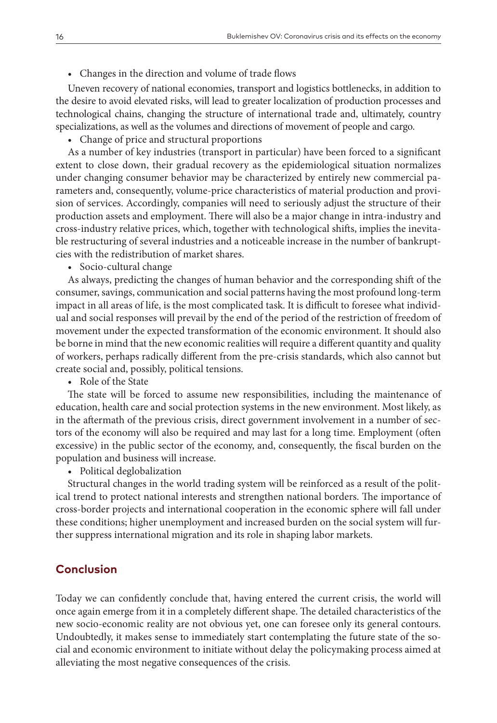• Changes in the direction and volume of trade flows

Uneven recovery of national economies, transport and logistics bottlenecks, in addition to the desire to avoid elevated risks, will lead to greater localization of production processes and technological chains, changing the structure of international trade and, ultimately, country specializations, as well as the volumes and directions of movement of people and cargo.

• Change of price and structural proportions

As a number of key industries (transport in particular) have been forced to a significant extent to close down, their gradual recovery as the epidemiological situation normalizes under changing consumer behavior may be characterized by entirely new commercial parameters and, consequently, volume-price characteristics of material production and provision of services. Accordingly, companies will need to seriously adjust the structure of their production assets and employment. There will also be a major change in intra-industry and cross-industry relative prices, which, together with technological shifts, implies the inevitable restructuring of several industries and a noticeable increase in the number of bankruptcies with the redistribution of market shares.

• Socio-cultural change

As always, predicting the changes of human behavior and the corresponding shift of the consumer, savings, communication and social patterns having the most profound long-term impact in all areas of life, is the most complicated task. It is difficult to foresee what individual and social responses will prevail by the end of the period of the restriction of freedom of movement under the expected transformation of the economic environment. It should also be borne in mind that the new economic realities will require a different quantity and quality of workers, perhaps radically different from the pre-crisis standards, which also cannot but create social and, possibly, political tensions.

• Role of the State

The state will be forced to assume new responsibilities, including the maintenance of education, health care and social protection systems in the new environment. Most likely, as in the aftermath of the previous crisis, direct government involvement in a number of sectors of the economy will also be required and may last for a long time. Employment (often excessive) in the public sector of the economy, and, consequently, the fiscal burden on the population and business will increase.

• Political deglobalization

Structural changes in the world trading system will be reinforced as a result of the political trend to protect national interests and strengthen national borders. The importance of cross-border projects and international cooperation in the economic sphere will fall under these conditions; higher unemployment and increased burden on the social system will further suppress international migration and its role in shaping labor markets.

## **Conclusion**

Today we can confidently conclude that, having entered the current crisis, the world will once again emerge from it in a completely different shape. The detailed characteristics of the new socio-economic reality are not obvious yet, one can foresee only its general contours. Undoubtedly, it makes sense to immediately start contemplating the future state of the social and economic environment to initiate without delay the policymaking process aimed at alleviating the most negative consequences of the crisis.